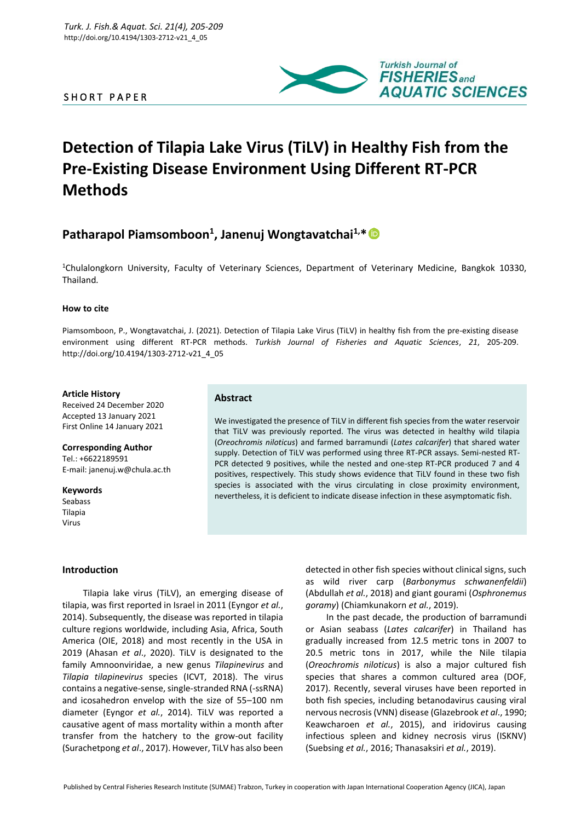# SHORT PAPER



# **Detection of Tilapia Lake Virus (TiLV) in Healthy Fish from the Pre-Existing Disease Environment Using Different RT-PCR Methods**

# **Patharapol Piamsomboon<sup>1</sup> , Janenuj Wongtavatchai1,\***

<sup>1</sup>Chulalongkorn University, Faculty of Veterinary Sciences, Department of Veterinary Medicine, Bangkok 10330, Thailand*.*

#### **How to cite**

Piamsomboon, P., Wongtavatchai, J. (2021). Detection of Tilapia Lake Virus (TiLV) in healthy fish from the pre-existing disease environment using different RT-PCR methods. *Turkish Journal of Fisheries and Aquatic Sciences*, *21*, 205-209. http://doi.org/10.4194/1303-2712-v21\_4\_05

#### **Article History**

Received 24 December 2020 Accepted 13 January 2021 First Online 14 January 2021

**Corresponding Author** Tel.: +6622189591 E-mail: janenuj.w@chula.ac.th

**Keywords** Seabass Tilapia Virus

# **Introduction**

Tilapia lake virus (TiLV), an emerging disease of tilapia, was first reported in Israel in 2011 (Eyngor *et al.*, 2014). Subsequently, the disease was reported in tilapia culture regions worldwide, including Asia, Africa, South America (OIE, 2018) and most recently in the USA in 2019 (Ahasan *et al*., 2020). TiLV is designated to the family Amnoonviridae, a new genus *Tilapinevirus* and *Tilapia tilapinevirus* species (ICVT, 2018). The virus contains a negative-sense, single-stranded RNA (-ssRNA) and icosahedron envelop with the size of 55–100 nm diameter (Eyngor *et al.*, 2014). TiLV was reported a causative agent of mass mortality within a month after transfer from the hatchery to the grow-out facility (Surachetpong *et al*., 2017). However, TiLV has also been

# **Abstract**

We investigated the presence of TiLV in different fish species from the water reservoir that TiLV was previously reported. The virus was detected in healthy wild tilapia (*Oreochromis niloticus*) and farmed barramundi (*Lates calcarifer*) that shared water supply. Detection of TiLV was performed using three RT-PCR assays. Semi-nested RT-PCR detected 9 positives, while the nested and one-step RT-PCR produced 7 and 4 positives, respectively. This study shows evidence that TiLV found in these two fish species is associated with the virus circulating in close proximity environment, nevertheless, it is deficient to indicate disease infection in these asymptomatic fish.

> detected in other fish species without clinical signs, such as wild river carp (*Barbonymus schwanenfeldii*) (Abdullah *et al.*, 2018) and giant gourami (*Osphronemus goramy*) (Chiamkunakorn *et al.*, 2019).

In the past decade, the production of barramundi or Asian seabass (*Lates calcarifer*) in Thailand has gradually increased from 12.5 metric tons in 2007 to 20.5 metric tons in 2017, while the Nile tilapia (*Oreochromis niloticus*) is also a major cultured fish species that shares a common cultured area (DOF, 2017). Recently, several viruses have been reported in both fish species, including betanodavirus causing viral nervous necrosis (VNN) disease (Glazebrook *et al*., 1990; Keawcharoen *et al.*, 2015), and iridovirus causing infectious spleen and kidney necrosis virus (ISKNV) (Suebsing *et al.*, 2016; Thanasaksiri *et al.*, 2019).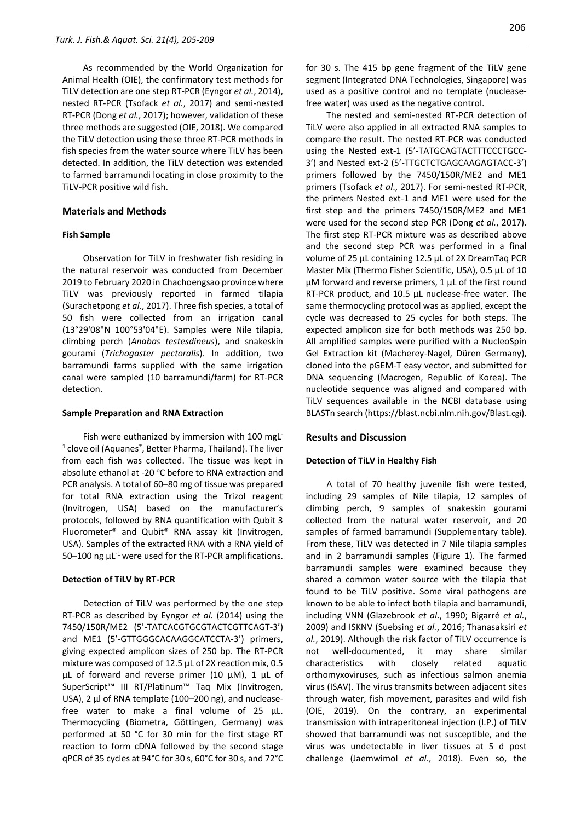As recommended by the World Organization for Animal Health (OIE), the confirmatory test methods for TiLV detection are one step RT-PCR (Eyngor *et al.*, 2014), nested RT-PCR (Tsofack *et al.*, 2017) and semi-nested RT-PCR (Dong *et al.*, 2017); however, validation of these three methods are suggested (OIE, 2018). We compared the TiLV detection using these three RT-PCR methods in fish species from the water source where TiLV has been detected. In addition, the TiLV detection was extended to farmed barramundi locating in close proximity to the TiLV-PCR positive wild fish.

### **Materials and Methods**

#### **Fish Sample**

Observation for TiLV in freshwater fish residing in the natural reservoir was conducted from December 2019 to February 2020 in Chachoengsao province where TiLV was previously reported in farmed tilapia (Surachetpong *et al.*, 2017). Three fish species, a total of 50 fish were collected from an irrigation canal (13°29'08"N 100°53'04"E). Samples were Nile tilapia, climbing perch (*Anabas testesdineus*), and snakeskin gourami (*Trichogaster pectoralis*). In addition, two barramundi farms supplied with the same irrigation canal were sampled (10 barramundi/farm) for RT-PCR detection.

#### **Sample Preparation and RNA Extraction**

Fish were euthanized by immersion with 100 mgL<sup>-</sup> <sup>1</sup> clove oil (Aquanes<sup>®</sup>, Better Pharma, Thailand). The liver from each fish was collected. The tissue was kept in absolute ethanol at -20 °C before to RNA extraction and PCR analysis. A total of 60–80 mg of tissue was prepared for total RNA extraction using the Trizol reagent (Invitrogen, USA) based on the manufacturer's protocols, followed by RNA quantification with Qubit 3 Fluorometer® and Qubit® RNA assay kit (Invitrogen, USA). Samples of the extracted RNA with a RNA yield of 50–100 ng  $\mu$ L<sup>-1</sup> were used for the RT-PCR amplifications.

#### **Detection of TiLV by RT-PCR**

Detection of TiLV was performed by the one step RT-PCR as described by Eyngor *et al.* (2014) using the 7450/150R/ME2 (5'-TATCACGTGCGTACTCGTTCAGT-3') and ME1 (5'-GTTGGGCACAAGGCATCCTA-3') primers, giving expected amplicon sizes of 250 bp. The RT-PCR mixture was composed of 12.5 µL of 2X reaction mix, 0.5 µL of forward and reverse primer (10 µM), 1 µL of SuperScript™ III RT/Platinum™ Taq Mix (Invitrogen, USA), 2 μl of RNA template (100–200 ng), and nucleasefree water to make a final volume of 25 µL. Thermocycling (Biometra, Göttingen, Germany) was performed at 50 °C for 30 min for the first stage RT reaction to form cDNA followed by the second stage qPCR of 35 cycles at 94°C for 30 s, 60°C for 30 s, and 72°C for 30 s. The 415 bp gene fragment of the TiLV gene segment (Integrated DNA Technologies, Singapore) was used as a positive control and no template (nucleasefree water) was used as the negative control.

The nested and semi-nested RT-PCR detection of TiLV were also applied in all extracted RNA samples to compare the result. The nested RT-PCR was conducted using the Nested ext-1 (5'-TATGCAGTACTTTCCCTGCC-3') and Nested ext-2 (5'-TTGCTCTGAGCAAGAGTACC-3') primers followed by the 7450/150R/ME2 and ME1 primers (Tsofack *et al*., 2017). For semi-nested RT-PCR, the primers Nested ext-1 and ME1 were used for the first step and the primers 7450/150R/ME2 and ME1 were used for the second step PCR (Dong *et al.*, 2017). The first step RT-PCR mixture was as described above and the second step PCR was performed in a final volume of 25 µL containing 12.5 µL of 2X DreamTaq PCR Master Mix (Thermo Fisher Scientific, USA), 0.5 µL of 10 µM forward and reverse primers, 1 µL of the first round RT-PCR product, and 10.5 µL nuclease-free water. The same thermocycling protocol was as applied, except the cycle was decreased to 25 cycles for both steps. The expected amplicon size for both methods was 250 bp. All amplified samples were purified with a NucleoSpin Gel Extraction kit (Macherey-Nagel, Düren Germany), cloned into the pGEM-T easy vector, and submitted for DNA sequencing (Macrogen, Republic of Korea). The nucleotide sequence was aligned and compared with TiLV sequences available in the NCBI database using BLASTn search (https://blast.ncbi.nlm.nih.gov/Blast.cgi).

#### **Results and Discussion**

#### **Detection of TiLV in Healthy Fish**

A total of 70 healthy juvenile fish were tested, including 29 samples of Nile tilapia, 12 samples of climbing perch, 9 samples of snakeskin gourami collected from the natural water reservoir, and 20 samples of farmed barramundi (Supplementary table). From these, TiLV was detected in 7 Nile tilapia samples and in 2 barramundi samples (Figure 1). The farmed barramundi samples were examined because they shared a common water source with the tilapia that found to be TiLV positive. Some viral pathogens are known to be able to infect both tilapia and barramundi, including VNN (Glazebrook *et al*., 1990; Bigarré *et al.*, 2009) and ISKNV (Suebsing *et al.*, 2016; Thanasaksiri *et al.*, 2019). Although the risk factor of TiLV occurrence is not well-documented, it may share similar characteristics with closely related aquatic orthomyxoviruses, such as infectious salmon anemia virus (ISAV). The virus transmits between adjacent sites through water, fish movement, parasites and wild fish (OIE, 2019). On the contrary, an experimental transmission with intraperitoneal injection (I.P.) of TiLV showed that barramundi was not susceptible, and the virus was undetectable in liver tissues at 5 d post challenge (Jaemwimol *et al*., 2018). Even so, the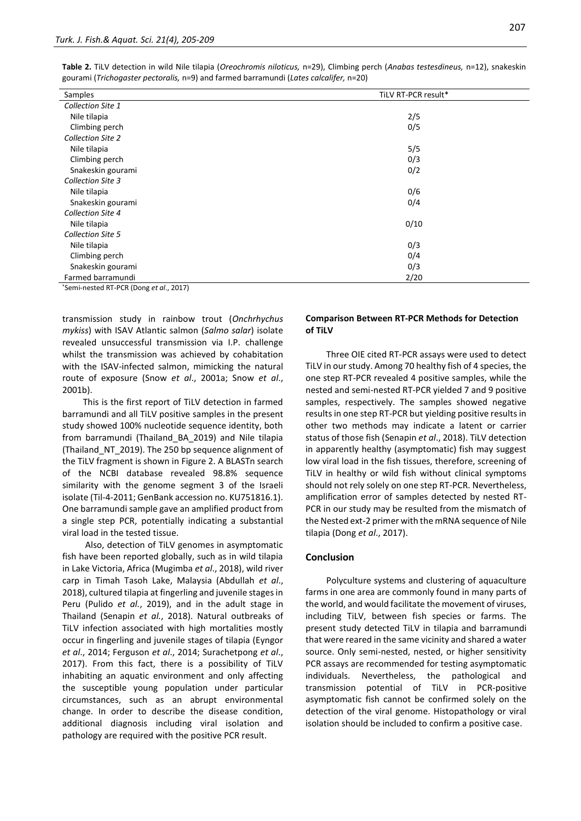| Samples                  | TiLV RT-PCR result* |
|--------------------------|---------------------|
| Collection Site 1        |                     |
| Nile tilapia             | 2/5                 |
| Climbing perch           | 0/5                 |
| <b>Collection Site 2</b> |                     |
| Nile tilapia             | 5/5                 |
| Climbing perch           | 0/3                 |
| Snakeskin gourami        | 0/2                 |
| <b>Collection Site 3</b> |                     |
| Nile tilapia             | 0/6                 |
| Snakeskin gourami        | 0/4                 |
| <b>Collection Site 4</b> |                     |
| Nile tilapia             | 0/10                |
| <b>Collection Site 5</b> |                     |
| Nile tilapia             | 0/3                 |
| Climbing perch           | 0/4                 |
| Snakeskin gourami        | 0/3                 |
| Farmed barramundi        | 2/20                |

**Table 2.** TiLV detection in wild Nile tilapia (*Oreochromis niloticus,* n=29), Climbing perch (*Anabas testesdineus,* n=12), snakeskin gourami (*Trichogaster pectoralis,* n=9) and farmed barramundi (*Lates calcalifer,* n=20)

\*Semi-nested RT-PCR (Dong *et al*., 2017)

transmission study in rainbow trout (*Onchrhychus mykiss*) with ISAV Atlantic salmon (*Salmo salar*) isolate revealed unsuccessful transmission via I.P. challenge whilst the transmission was achieved by cohabitation with the ISAV-infected salmon, mimicking the natural route of exposure (Snow *et al*., 2001a; Snow *et al*., 2001b).

This is the first report of TiLV detection in farmed barramundi and all TiLV positive samples in the present study showed 100% nucleotide sequence identity, both from barramundi (Thailand\_BA\_2019) and Nile tilapia (Thailand\_NT\_2019). The 250 bp sequence alignment of the TiLV fragment is shown in Figure 2. A BLASTn search of the NCBI database revealed 98.8% sequence similarity with the genome segment 3 of the Israeli isolate (Til-4-2011; GenBank accession no. KU751816.1). One barramundi sample gave an amplified product from a single step PCR, potentially indicating a substantial viral load in the tested tissue.

Also, detection of TiLV genomes in asymptomatic fish have been reported globally, such as in wild tilapia in Lake Victoria, Africa (Mugimba *et al*., 2018), wild river carp in Timah Tasoh Lake, Malaysia (Abdullah *et al*., 2018), cultured tilapia at fingerling and juvenile stages in Peru (Pulido *et al.*, 2019), and in the adult stage in Thailand (Senapin *et al.*, 2018). Natural outbreaks of TiLV infection associated with high mortalities mostly occur in fingerling and juvenile stages of tilapia (Eyngor *et al*., 2014; Ferguson *et al*., 2014; Surachetpong *et al*., 2017). From this fact, there is a possibility of TiLV inhabiting an aquatic environment and only affecting the susceptible young population under particular circumstances, such as an abrupt environmental change. In order to describe the disease condition, additional diagnosis including viral isolation and pathology are required with the positive PCR result.

# **Comparison Between RT-PCR Methods for Detection of TiLV**

Three OIE cited RT-PCR assays were used to detect TiLV in our study. Among 70 healthy fish of 4 species, the one step RT-PCR revealed 4 positive samples, while the nested and semi-nested RT-PCR yielded 7 and 9 positive samples, respectively. The samples showed negative results in one step RT-PCR but yielding positive results in other two methods may indicate a latent or carrier status of those fish (Senapin *et al*., 2018). TiLV detection in apparently healthy (asymptomatic) fish may suggest low viral load in the fish tissues, therefore, screening of TiLV in healthy or wild fish without clinical symptoms should not rely solely on one step RT-PCR. Nevertheless, amplification error of samples detected by nested RT-PCR in our study may be resulted from the mismatch of the Nested ext-2 primer with the mRNA sequence of Nile tilapia (Dong *et al*., 2017).

#### **Conclusion**

Polyculture systems and clustering of aquaculture farms in one area are commonly found in many parts of the world, and would facilitate the movement of viruses, including TiLV, between fish species or farms. The present study detected TiLV in tilapia and barramundi that were reared in the same vicinity and shared a water source. Only semi-nested, nested, or higher sensitivity PCR assays are recommended for testing asymptomatic individuals. Nevertheless, the pathological and transmission potential of TiLV in PCR-positive asymptomatic fish cannot be confirmed solely on the detection of the viral genome. Histopathology or viral isolation should be included to confirm a positive case.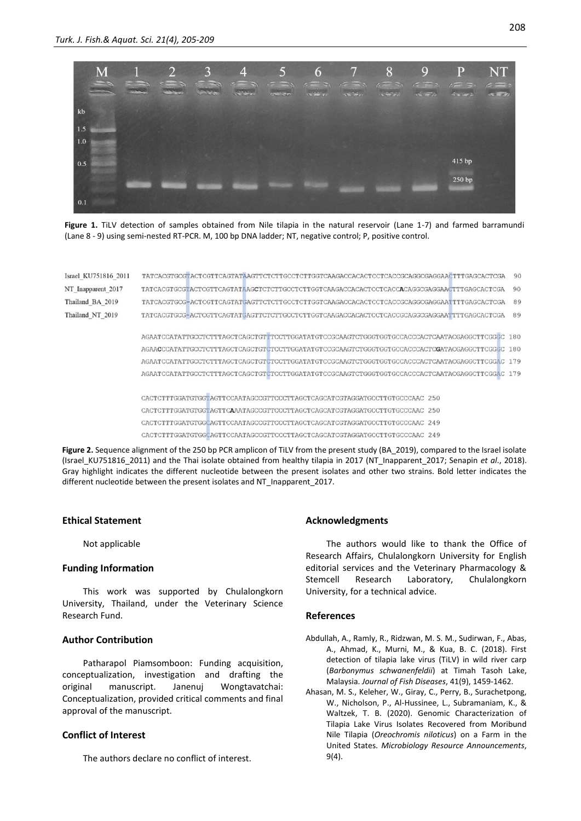

**Figure 1.** TiLV detection of samples obtained from Nile tilapia in the natural reservoir (Lane 1-7) and farmed barramundi (Lane 8 - 9) using semi-nested RT-PCR. M, 100 bp DNA ladder; NT, negative control; P, positive control.

| Israel KU751816 2011 | TATCACGTGCGTACTCGTTCAGTATAAGTTCTCTTGCCTCTTGGTCAAGACCACACTCCTCACCGCAGGCGAGGAACTTTGAGCACTCGA<br>90 |
|----------------------|--------------------------------------------------------------------------------------------------|
| NT Inapparent 2017   | 90<br>TATCACGTGCGTACTCGTTCAGTATAAGCTCTCTTGCCTCTTGGTCAAGACCACACTCCTCACCACGGCGAGGAACTTTGAGCACTCGA  |
| Thailand BA 2019     | 89<br>TATCACGTGCG-ACTCGTTCAGTATGAGTTCTCTTGCCTCTTGGTCAAGACCACACTCCTCACCGCAGGCGAGGAATTTTGAGCACTCGA |
| Thailand NT 2019     | 89<br>TATCACGTGCG-ACTCGTTCAGTATGAGTTCTCTTGCCTCTTGGTCAAGACCACACTCCTCACCGCAGGCGAGGAATTTTGAGCACTCGA |
|                      |                                                                                                  |
|                      |                                                                                                  |
|                      |                                                                                                  |
|                      |                                                                                                  |
|                      |                                                                                                  |
|                      |                                                                                                  |
|                      | CACTCTTTGGATGTGGTAGTTCCAATAGCCGTTCCCTTAGCTCAGCATCGTAGGATGCCTTGTGCCCAAC 250                       |
|                      | CACTCTTTGGATGTGGTAGTTCAAATAGCCGTTCCCTTAGCTCAGCATCGTAGGATGCCTTGTGCCCAAC 250                       |
|                      | CACTCTTTGGATGTGGCAGTTCCAATAGCCGTTCCCTTAGCTCAGCATCGTAGGATGCCTTGTGCCCAAC 249                       |

CACTCTTTGGATGTGGCAGTTCCAATAGCCGTTCCCTTAGCTCAGCATCGTAGGATGCCTTGTGCCCAAC 249

Figure 2. Sequence alignment of the 250 bp PCR amplicon of TiLV from the present study (BA 2019), compared to the Israel isolate (Israel KU751816 2011) and the Thai isolate obtained from healthy tilapia in 2017 (NT Inapparent 2017; Senapin *et al.*, 2018). Gray highlight indicates the different nucleotide between the present isolates and other two strains. Bold letter indicates the different nucleotide between the present isolates and NT\_Inapparent\_2017.

#### **Ethical Statement**

Not applicable

#### **Funding Information**

This work was supported by Chulalongkorn University, Thailand, under the Veterinary Science Research Fund.

# **Author Contribution**

Patharapol Piamsomboon: Funding acquisition, conceptualization, investigation and drafting the original manuscript. Janenuj Wongtavatchai: Conceptualization, provided critical comments and final approval of the manuscript.

# **Conflict of Interest**

The authors declare no conflict of interest.

# **Acknowledgments**

The authors would like to thank the Office of Research Affairs, Chulalongkorn University for English editorial services and the Veterinary Pharmacology & Stemcell Research Laboratory, Chulalongkorn University, for a technical advice.

# **References**

- Abdullah, A., Ramly, R., Ridzwan, M. S. M., Sudirwan, F., Abas, A., Ahmad, K., Murni, M., & Kua, B. C. (2018). First detection of tilapia lake virus (TiLV) in wild river carp (*Barbonymus schwanenfeldii*) at Timah Tasoh Lake, Malaysia. *Journal of Fish Diseases*, 41(9), 1459-1462.
- Ahasan, M. S., Keleher, W., Giray, C., Perry, B., Surachetpong, W., Nicholson, P., Al-Hussinee, L., Subramaniam, K., & Waltzek, T. B. (2020). Genomic Characterization of Tilapia Lake Virus Isolates Recovered from Moribund Nile Tilapia (*Oreochromis niloticus*) on a Farm in the United States. *Microbiology Resource Announcements*, 9(4).